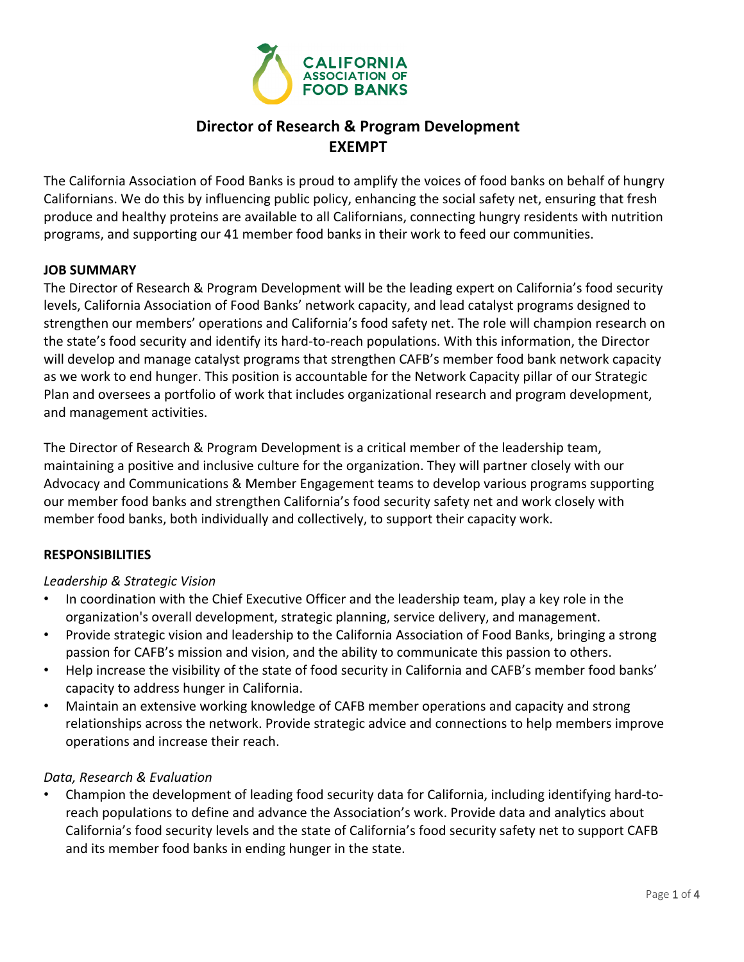

# **Director of Research & Program Development EXEMPT**

The California Association of Food Banks is proud to amplify the voices of food banks on behalf of hungry Californians. We do this by influencing public policy, enhancing the social safety net, ensuring that fresh produce and healthy proteins are available to all Californians, connecting hungry residents with nutrition programs, and supporting our 41 member food banks in their work to feed our communities.

## **JOB SUMMARY**

The Director of Research & Program Development will be the leading expert on California's food security levels, California Association of Food Banks' network capacity, and lead catalyst programs designed to strengthen our members' operations and California's food safety net. The role will champion research on the state's food security and identify its hard‐to‐reach populations. With this information, the Director will develop and manage catalyst programs that strengthen CAFB's member food bank network capacity as we work to end hunger. This position is accountable for the Network Capacity pillar of our Strategic Plan and oversees a portfolio of work that includes organizational research and program development, and management activities.

The Director of Research & Program Development is a critical member of the leadership team, maintaining a positive and inclusive culture for the organization. They will partner closely with our Advocacy and Communications & Member Engagement teams to develop various programs supporting our member food banks and strengthen California's food security safety net and work closely with member food banks, both individually and collectively, to support their capacity work.

### **RESPONSIBILITIES**

### *Leadership & Strategic Vision*

- In coordination with the Chief Executive Officer and the leadership team, play a key role in the organization's overall development, strategic planning, service delivery, and management.
- Provide strategic vision and leadership to the California Association of Food Banks, bringing a strong passion for CAFB's mission and vision, and the ability to communicate this passion to others.
- Help increase the visibility of the state of food security in California and CAFB's member food banks' capacity to address hunger in California.
- Maintain an extensive working knowledge of CAFB member operations and capacity and strong relationships across the network. Provide strategic advice and connections to help members improve operations and increase their reach.

### *Data, Research & Evaluation*

• Champion the development of leading food security data for California, including identifying hard‐to‐ reach populations to define and advance the Association's work. Provide data and analytics about California's food security levels and the state of California's food security safety net to support CAFB and its member food banks in ending hunger in the state.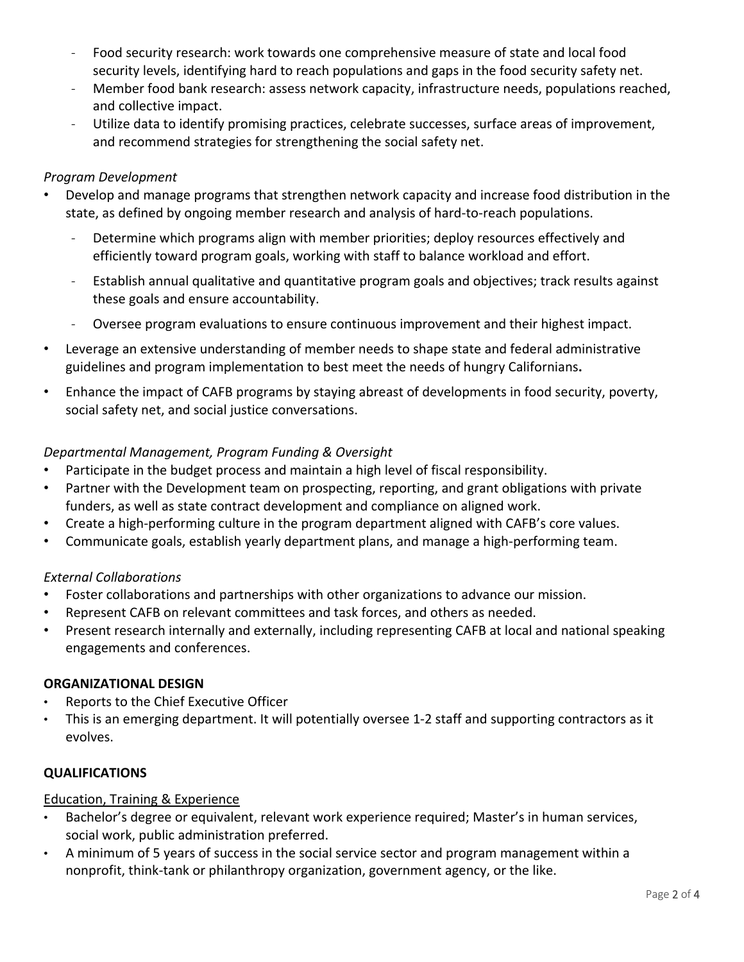- ‐ Food security research: work towards one comprehensive measure of state and local food security levels, identifying hard to reach populations and gaps in the food security safety net.
- Member food bank research: assess network capacity, infrastructure needs, populations reached, and collective impact.
- ‐ Utilize data to identify promising practices, celebrate successes, surface areas of improvement, and recommend strategies for strengthening the social safety net.

# *Program Development*

- Develop and manage programs that strengthen network capacity and increase food distribution in the state, as defined by ongoing member research and analysis of hard‐to‐reach populations.
	- ‐ Determine which programs align with member priorities; deploy resources effectively and efficiently toward program goals, working with staff to balance workload and effort.
	- ‐ Establish annual qualitative and quantitative program goals and objectives; track results against these goals and ensure accountability.
	- ‐ Oversee program evaluations to ensure continuous improvement and their highest impact.
- Leverage an extensive understanding of member needs to shape state and federal administrative guidelines and program implementation to best meet the needs of hungry Californians**.**
- Enhance the impact of CAFB programs by staying abreast of developments in food security, poverty, social safety net, and social justice conversations.

## *Departmental Management, Program Funding & Oversight*

- Participate in the budget process and maintain a high level of fiscal responsibility.
- Partner with the Development team on prospecting, reporting, and grant obligations with private funders, as well as state contract development and compliance on aligned work.
- Create a high-performing culture in the program department aligned with CAFB's core values.
- Communicate goals, establish yearly department plans, and manage a high‐performing team.

# *External Collaborations*

- Foster collaborations and partnerships with other organizations to advance our mission.
- Represent CAFB on relevant committees and task forces, and others as needed.
- Present research internally and externally, including representing CAFB at local and national speaking engagements and conferences.

### **ORGANIZATIONAL DESIGN**

- Reports to the Chief Executive Officer
- This is an emerging department. It will potentially oversee 1‐2 staff and supporting contractors as it evolves.

### **QUALIFICATIONS**

### Education, Training & Experience

- Bachelor's degree or equivalent, relevant work experience required; Master's in human services, social work, public administration preferred.
- A minimum of 5 years of success in the social service sector and program management within a nonprofit, think‐tank or philanthropy organization, government agency, or the like.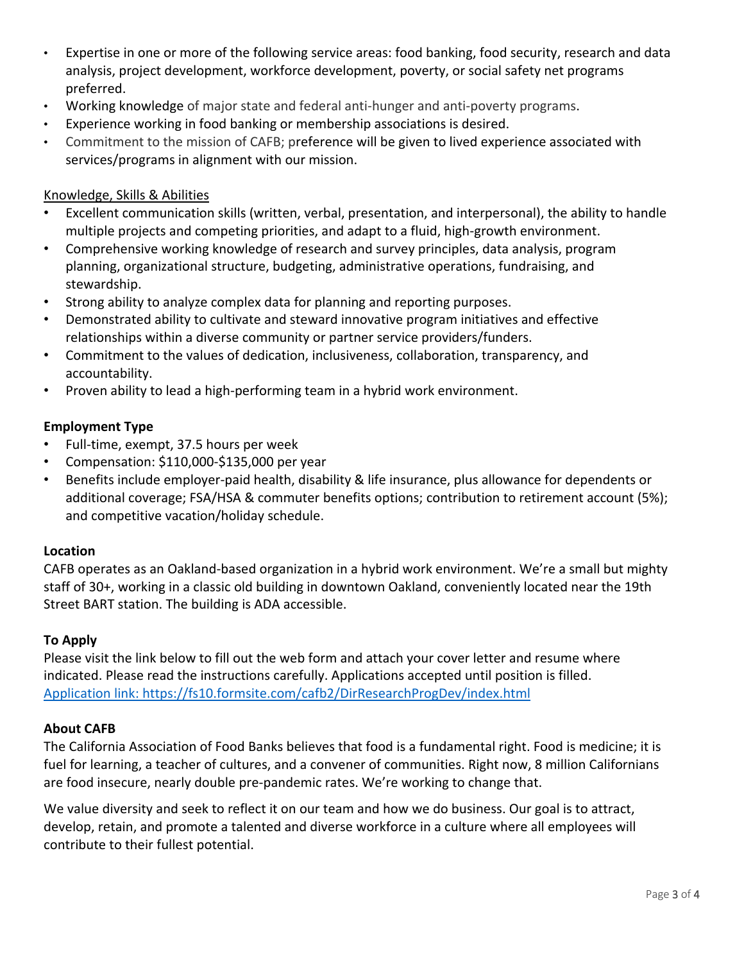- Expertise in one or more of the following service areas: food banking, food security, research and data analysis, project development, workforce development, poverty, or social safety net programs preferred.
- Working knowledge of major state and federal anti‐hunger and anti‐poverty programs.
- Experience working in food banking or membership associations is desired.
- Commitment to the mission of CAFB; preference will be given to lived experience associated with services/programs in alignment with our mission.

#### Knowledge, Skills & Abilities

- Excellent communication skills (written, verbal, presentation, and interpersonal), the ability to handle multiple projects and competing priorities, and adapt to a fluid, high‐growth environment.
- Comprehensive working knowledge of research and survey principles, data analysis, program planning, organizational structure, budgeting, administrative operations, fundraising, and stewardship.
- Strong ability to analyze complex data for planning and reporting purposes.
- Demonstrated ability to cultivate and steward innovative program initiatives and effective relationships within a diverse community or partner service providers/funders.
- Commitment to the values of dedication, inclusiveness, collaboration, transparency, and accountability.
- Proven ability to lead a high‐performing team in a hybrid work environment.

### **Employment Type**

- Full‐time, exempt, 37.5 hours per week
- Compensation: \$110,000‐\$135,000 per year
- Benefits include employer‐paid health, disability & life insurance, plus allowance for dependents or additional coverage; FSA/HSA & commuter benefits options; contribution to retirement account (5%); and competitive vacation/holiday schedule.

#### **Location**

CAFB operates as an Oakland‐based organization in a hybrid work environment. We're a small but mighty staff of 30+, working in a classic old building in downtown Oakland, conveniently located near the 19th Street BART station. The building is ADA accessible.

#### **To Apply**

Please visit the link below to fill out the web form and attach your cover letter and resume where indicated. Please read the instructions carefully. Applications accepted until position is filled. Application link: https://fs10.formsite.com/cafb2/DirResearchProgDev/index.html

#### **About CAFB**

The California Association of Food Banks believes that food is a fundamental right. Food is medicine; it is fuel for learning, a teacher of cultures, and a convener of communities. Right now, 8 million Californians are food insecure, nearly double pre‐pandemic rates. We're working to change that.

We value diversity and seek to reflect it on our team and how we do business. Our goal is to attract, develop, retain, and promote a talented and diverse workforce in a culture where all employees will contribute to their fullest potential.